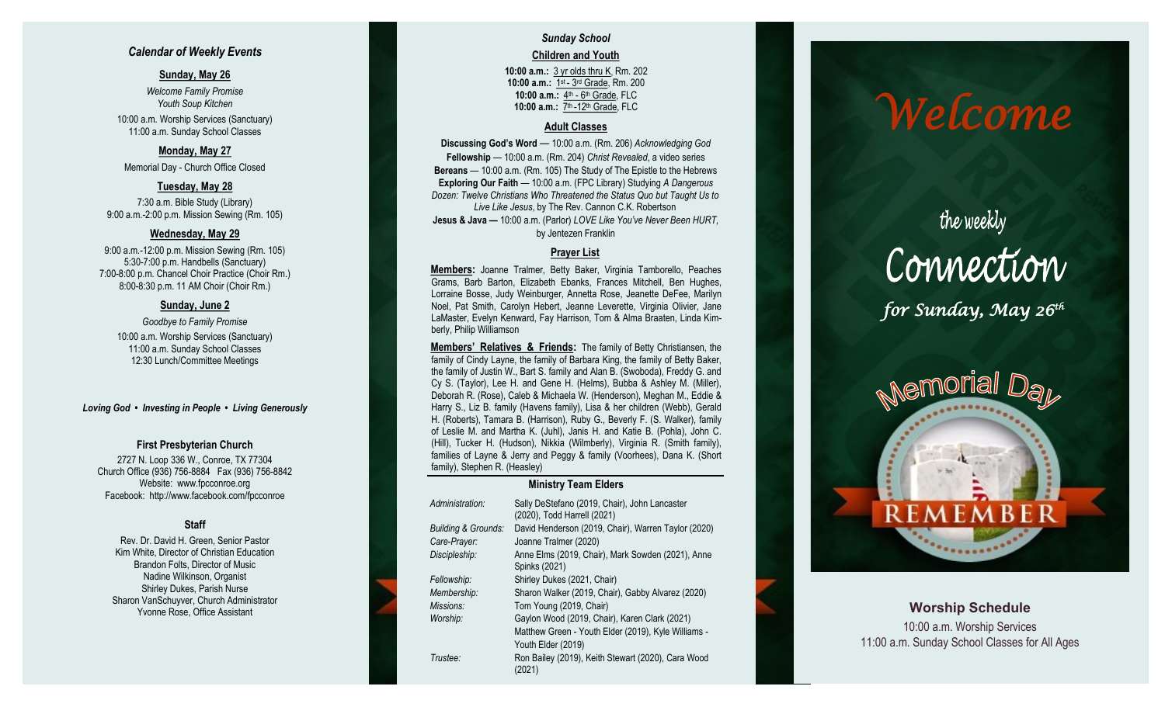### *Calendar of Weekly Events*

### **Sunday, May 26**

*Welcome Family Promise Youth Soup Kitchen* 10:00 a.m. Worship Services (Sanctuary) 11:00 a.m. Sunday School Classes

### **Monday, May 27**

Memorial Day - Church Office Closed

### **Tuesday, May 28**

7:30 a.m. Bible Study (Library) 9:00 a.m. -2:00 p.m. Mission Sewing (Rm. 105)

### **Wednesday, May 29**

9:00 a.m. -12:00 p.m. Mission Sewing (Rm. 105) 5:30 -7:00 p.m. Handbells (Sanctuary) 7:00 -8:00 p.m. Chancel Choir Practice (Choir Rm.) 8:00 -8:30 p.m. 11 AM Choir (Choir Rm.)

### **Sunday, June 2**

*Goodbye to Family Promise* 10:00 a.m. Worship Services (Sanctuary) 11:00 a.m. Sunday School Classes 12:30 Lunch/Committee Meetings

### *Loving God • Investing in People • Living Generously*

### **First Presbyterian Church**

2727 N. Loop 336 W., Conroe, TX 77304 Church Office (936) 756 -8884 Fax (936) 756 -8842 Website: [www.fpcconroe.org](http://www.fpcconroe.org/) Facebook: <http://www.facebook.com/fpcconroe>

### **Staff**

Rev. Dr. David H. Green, Senior Pastor Kim White, Director of Christian Education Brandon Folts, Director of Music Nadine Wilkinson, Organist Shirley Dukes, Parish Nurse Sharon VanSchuyver, Church Administrator Yvonne Rose, Office Assistant

# *Sunday School*

**Children and Youth**

**10:00 a.m.:** 3 yr olds thru K, Rm. 202 10:00 a.m.: 1st - 3rd Grade, Rm. 200 10:00 a.m.: 4<sup>th</sup> - 6<sup>th</sup> Grade, FLC 10:00 a.m.: 7<sup>th</sup> -12<sup>th</sup> Grade, FLC

### **Adult Classes**

**Discussing God's Word**  — 10:00 a.m. (Rm. 206) *Acknowledging God* **Fellowship** — 10:00 a.m. (Rm. 204) *Christ Revealed*, a video series **Bereans** — 10:00 a.m. (Rm. 105) The Study of The Epistle to the Hebrews **Exploring Our Faith**  — 10:00 a.m. (FPC Library) Studying *A Dangerous Dozen: Twelve Christians Who Threatened the Status Quo but Taught Us to Live Like Jesus*, by The Rev. Cannon C.K. Robertson **Jesus & Java —** 10:00 a.m. (Parlor) *LOVE Like You've Never Been HURT,*  by Jentezen Franklin

### **Prayer List**

**Members :** Joanne Tralmer, Betty Baker, Virginia Tamborello, Peaches Grams, Barb Barton, Elizabeth Ebanks, Frances Mitchell, Ben Hughes, Lorraine Bosse, Judy Weinburger, Annetta Rose, Jeanette DeFee, Marilyn Noel, Pat Smith, Carolyn Hebert, Jeanne Leverette, Virginia Olivier, Jane LaMaster, Evelyn Kenward, Fay Harrison, Tom & Alma Braaten, Linda Kimberly, Philip Williamson

**Members' Relatives & Friends:** The family of Betty Christiansen, the family of Cindy Layne, the family of Barbara King, the family of Betty Baker, the family of Justin W., Bart S. family and Alan B. (Swoboda), Freddy G. and Cy S. (Taylor), Lee H. and Gene H. (Helms), Bubba & Ashley M. (Miller), Deborah R. (Rose), Caleb & Michaela W. (Henderson), Meghan M., Eddie & Harry S., Liz B. family (Havens family), Lisa & her children (Webb), Gerald H. (Roberts), Tamara B. (Harrison), Ruby G., Beverly F. (S. Walker), family of Leslie M. and Martha K. (Juhl), Janis H. and Katie B. (Pohla), John C. (Hill), Tucker H. (Hudson), Nikkia (Wilmberly), Virginia R. (Smith family), families of Layne & Jerry and Peggy & family (Voorhees), Dana K. (Short family), Stephen R. (Heasley)

### **Ministry Team Elders**

| Administration:     | Sally DeStefano (2019, Chair), John Lancaster<br>(2020), Todd Harrell (2021) |
|---------------------|------------------------------------------------------------------------------|
| Building & Grounds: | David Henderson (2019, Chair), Warren Taylor (2020)                          |
| Care-Prayer:        | Joanne Tralmer (2020)                                                        |
| Discipleship:       | Anne Elms (2019, Chair), Mark Sowden (2021), Anne<br>Spinks (2021)           |
| Fellowship:         | Shirley Dukes (2021, Chair)                                                  |
| Membership:         | Sharon Walker (2019, Chair), Gabby Alvarez (2020)                            |
| Missions:           | Tom Young (2019, Chair)                                                      |
| Worship:            | Gaylon Wood (2019, Chair), Karen Clark (2021)                                |
|                     | Matthew Green - Youth Elder (2019), Kyle Williams -                          |
|                     | Youth Elder (2019)                                                           |
| Trustee:            | Ron Bailey (2019), Keith Stewart (2020), Cara Wood<br>(2021)                 |

# *Welcome*

the weekly





### **Worship Schedule** 10:00 a.m. Worship Services 11:00 a.m. Sunday School Classes for All Ages